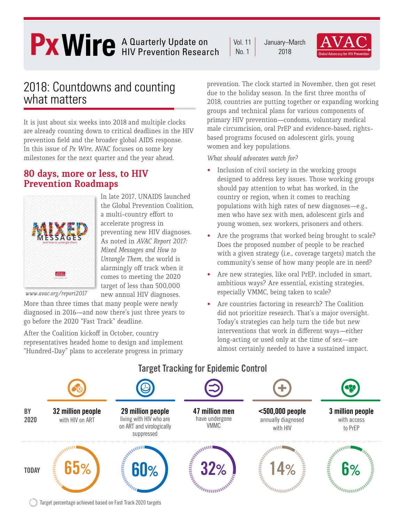# A Quarterly Update on HIV Prevention Research

January–March 2018 Vol. 11 No. 1



### 2018: Countdowns and counting what matters

It is just about six weeks into 2018 and multiple clocks are already counting down to critical deadlines in the HIV prevention field and the broader global AIDS response. In this issue of *Px Wire,* AVAC focuses on some key milestones for the next quarter and the year ahead.

#### **80 days, more or less, to HIV Prevention Roadmaps**



In late 2017, UNAIDS launched the Global Prevention Coalition, a multi-country effort to accelerate progress in preventing new HIV diagnoses. As noted in *AVAC Report 2017: Mixed Messages and How to Untangle Them,* the world is alarmingly off track when it comes to meeting the 2020 target of less than 500,000 new annual HIV diagnoses.

 *www.avac.org/report2017*

More than three times that many people were newly diagnosed in 2016—and now there's just three years to go before the 2020 "Fast Track" deadline.

After the Coalition kickoff in October, country representatives headed home to design and implement "Hundred-Day" plans to accelerate progress in primary prevention. The clock started in November, then got reset due to the holiday season. In the first three months of 2018, countries are putting together or expanding working groups and technical plans for various components of primary HIV prevention—condoms, voluntary medical male circumcision, oral PrEP and evidence-based, rightsbased programs focused on adolescent girls, young women and key populations.

*What should advocates watch for?*

- Inclusion of civil society in the working groups designed to address key issues. Those working groups should pay attention to what has worked, in the country or region, when it comes to reaching populations with high rates of new diagnoses—e.g., men who have sex with men, adolescent girls and young women, sex workers, prisoners and others.
- Are the programs that worked being brought to scale? Does the proposed number of people to be reached with a given strategy (i.e., coverage targets) match the community's sense of how many people are in need?
- Are new strategies, like oral PrEP, included in smart, ambitious ways? Are essential, existing strategies, especially VMMC, being taken to scale?
- Are countries factoring in research? The Coalition did not prioritize research. That's a major oversight. Today's strategies can help turn the tide but new interventions that work in different ways—either long-acting or used only at the time of sex—are almost certainly needed to have a sustained impact.

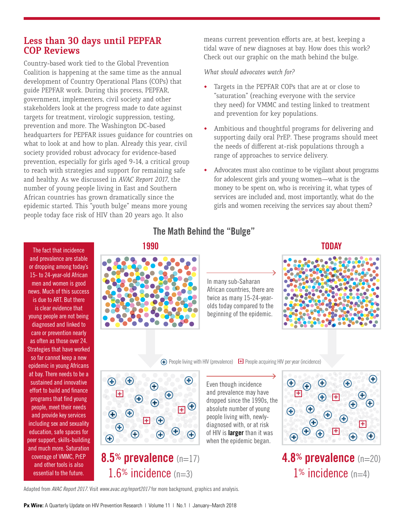#### **Less than 30 days until PEPFAR COP Reviews**

Country-based work tied to the Global Prevention Coalition is happening at the same time as the annual development of Country Operational Plans (COPs) that guide PEPFAR work. During this process, PEPFAR, government, implementers, civil society and other stakeholders look at the progress made to date against targets for treatment, virologic suppression, testing, prevention and more. The Washington DC-based headquarters for PEPFAR issues guidance for countries on what to look at and how to plan. Already this year, civil society provided robust advocacy for evidence-based prevention, especially for girls aged 9-14, a critical group to reach with strategies and support for remaining safe and healthy. As we discussed in *AVAC Report 2017*, the number of young people living in East and Southern African countries has grown dramatically since the epidemic started. This "youth bulge" means more young people today face risk of HIV than 20 years ago. It also

means current prevention efforts are, at best, keeping a tidal wave of new diagnoses at bay. How does this work? Check out our graphic on the math behind the bulge.

#### *What should advocates watch for?*

- Targets in the PEPFAR COPs that are at or close to "saturation" (reaching everyone with the service they need) for VMMC and testing linked to treatment and prevention for key populations.
- Ambitious and thoughtful programs for delivering and supporting daily oral PrEP. These programs should meet the needs of different at-risk populations through a range of approaches to service delivery.
- Advocates must also continue to be vigilant about programs for adolescent girls and young women—what is the money to be spent on, who is receiving it, what types of services are included and, most importantly, what do the girls and women receiving the services say about them?

The fact that incidence and prevalence are stable or dropping among today's 15- to 24-year-old African men and women is good news. Much of this success is due to ART. But there is clear evidence that young people are not being diagnosed and linked to care or prevention nearly as often as those over 24. Strategies that have worked so far cannot keep a new epidemic in young Africans at bay. There needs to be a sustained and innovative effort to build and finance programs that find young people, meet their needs and provide key services including sex and sexuality education, safe spaces for peer support, skills-building and much more. Saturation coverage of VMMC, PrEP and other tools is also essential to the future.

### **The Math Behind the "Bulge"**



In many sub-Saharan African countries, there are twice as many 15-24-yearolds today compared to the beginning of the epidemic.





**(+)** People living with HIV (prevalence)  $\Box$  People acquiring HIV per year (incidence)



**8.5% prevalence** (n=17) 1.6% incidence  $(n=3)$ 

Even though incidence and prevalence may have dropped since the 1990s, the absolute number of young people living with, newlydiagnosed with, or at risk of HIV is **larger** than it was when the epidemic began.



**4.8% prevalence** (n=20) 1% incidence  $(n=4)$ 

Adapted from *AVAC Report 2017*. Visit *www.avac.org/report2017* for more background, graphics and analysis.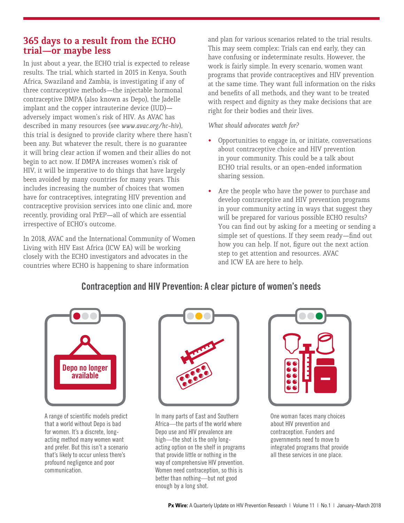#### **365 days to a result from the ECHO trial—or maybe less**

In just about a year, the ECHO trial is expected to release results. The trial, which started in 2015 in Kenya, South Africa, Swaziland and Zambia, is investigating if any of three contraceptive methods—the injectable hormonal contraceptive DMPA (also known as Depo), the Jadelle implant and the copper intrauterine device (IUD) adversely impact women's risk of HIV. As AVAC has described in many resources (see *www.avac.org/hc-hiv*), this trial is designed to provide clarity where there hasn't been any. But whatever the result, there is no guarantee it will bring clear action if women and their allies do not begin to act now. If DMPA increases women's risk of HIV, it will be imperative to do things that have largely been avoided by many countries for many years. This includes increasing the number of choices that women have for contraceptives, integrating HIV prevention and contraceptive provision services into one clinic and, more recently, providing oral PrEP—all of which are essential irrespective of ECHO's outcome.

In 2018, AVAC and the International Community of Women Living with HIV East Africa (ICW EA) will be working closely with the ECHO investigators and advocates in the countries where ECHO is happening to share information

and plan for various scenarios related to the trial results. This may seem complex: Trials can end early, they can have confusing or indeterminate results. However, the work is fairly simple. In every scenario, women want programs that provide contraceptives and HIV prevention at the same time. They want full information on the risks and benefits of all methods, and they want to be treated with respect and dignity as they make decisions that are right for their bodies and their lives.

*What should advocates watch for?* 

- Opportunities to engage in, or initiate, conversations about contraceptive choice and HIV prevention in your community. This could be a talk about ECHO trial results, or an open-ended information sharing session.
- Are the people who have the power to purchase and develop contraceptive and HIV prevention programs in your community acting in ways that suggest they will be prepared for various possible ECHO results? You can find out by asking for a meeting or sending a simple set of questions. If they seem ready—find out how you can help. If not, figure out the next action step to get attention and resources. AVAC and ICW EA are here to help.

#### **Contraception and HIV Prevention: A clear picture of women's needs**



A range of scientific models predict that a world without Depo is bad for women. It's a discrete, longacting method many women want and prefer. But this isn't a scenario that's likely to occur unless there's profound negligence and poor communication.



In many parts of East and Southern Africa—the parts of the world where Depo use and HIV prevalence are high—the shot is the only longacting option on the shelf in programs that provide little or nothing in the way of comprehensive HIV prevention. Women need contraception, so this is better than nothing—but not good enough by a long shot.

| Ĕ, |  |
|----|--|
|    |  |
|    |  |

One woman faces many choices about HIV prevention and contraception. Funders and governments need to move to integrated programs that provide all these services in one place.